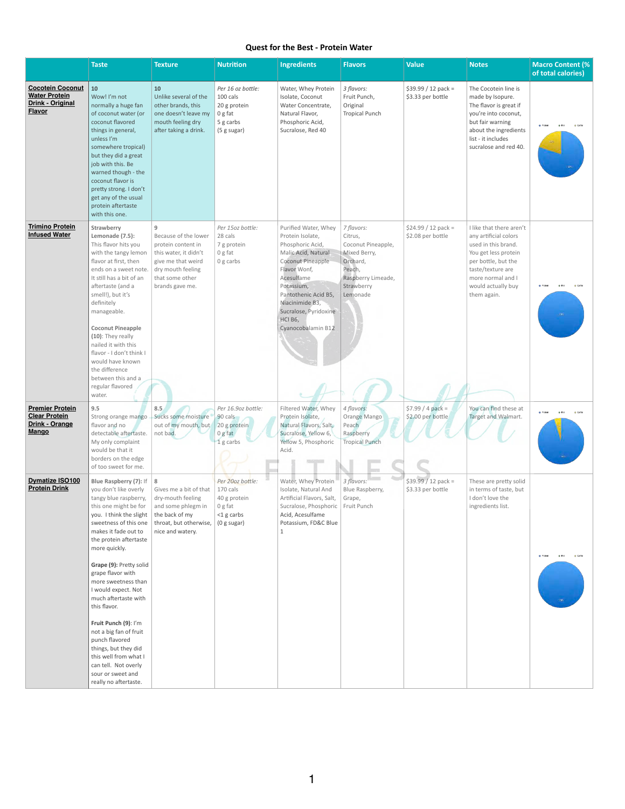## **Quest for the Best - Protein Water**

|                                                                                             | <b>Taste</b>                                                                                                                                                                                                                                                                                                                                                                                                                                                                                                                                                     | <b>Texture</b>                                                                                                                                            | <b>Nutrition</b>                                                                             | <b>Ingredients</b>                                                                                                                                                                                                                                        | <b>Flavors</b>                                                                                                                    | <b>Value</b>                              | <b>Notes</b>                                                                                                                                                                                           | <b>Macro Content (%)</b><br>of total calories) |
|---------------------------------------------------------------------------------------------|------------------------------------------------------------------------------------------------------------------------------------------------------------------------------------------------------------------------------------------------------------------------------------------------------------------------------------------------------------------------------------------------------------------------------------------------------------------------------------------------------------------------------------------------------------------|-----------------------------------------------------------------------------------------------------------------------------------------------------------|----------------------------------------------------------------------------------------------|-----------------------------------------------------------------------------------------------------------------------------------------------------------------------------------------------------------------------------------------------------------|-----------------------------------------------------------------------------------------------------------------------------------|-------------------------------------------|--------------------------------------------------------------------------------------------------------------------------------------------------------------------------------------------------------|------------------------------------------------|
| <b>Cocotein Coconut</b><br><b>Water Protein</b><br><b>Drink - Original</b><br><b>Flavor</b> | 10<br>Wow! I'm not<br>normally a huge fan<br>of coconut water (or<br>coconut flavored<br>things in general,<br>unless I'm<br>somewhere tropical)<br>but they did a great<br>job with this. Be<br>warned though - the<br>coconut flavor is<br>pretty strong. I don't<br>get any of the usual<br>protein aftertaste<br>with this one.                                                                                                                                                                                                                              | 10<br>Unlike several of the<br>other brands, this<br>one doesn't leave my<br>mouth feeling dry<br>after taking a drink.                                   | Per 16 oz bottle:<br>100 cals<br>20 g protein<br>$\vert 0$ g fat<br>5 g carbs<br>(5 g sugar) | Water, Whey Protein<br>Isolate, Coconut<br>Water Concentrate,<br>Natural Flavor,<br>Phosphoric Acid,<br>Sucralose, Red 40                                                                                                                                 | 3 flavors:<br>Fruit Punch,<br>Original<br><b>Tropical Punch</b>                                                                   | $$39.99 / 12$ pack =<br>\$3.33 per bottle | The Cocotein line is<br>made by Isopure.<br>The flavor is great if<br>you're into coconut,<br>but fair warning<br>about the ingredients<br>list - it includes<br>sucralose and red 40.                 | @ Carbs                                        |
| <b>Trimino Protein</b><br><b>Infused Water</b>                                              | Strawberry<br>Lemonade (7.5):<br>This flavor hits you<br>with the tangy lemon<br>flavor at first, then<br>ends on a sweet note.<br>It still has a bit of an<br>aftertaste (and a<br>smell!), but it's<br>definitely<br>manageable.<br><b>Coconut Pineapple</b><br>$(10)$ : They really<br>nailed it with this<br>flavor - I don't think I<br>would have known<br>the difference<br>between this and a<br>regular flavored<br>water.                                                                                                                              | 9<br>Because of the lower<br>protein content in<br>this water, it didn't<br>give me that weird<br>dry mouth feeling<br>that some other<br>brands gave me. | Per 15oz bottle:<br>28 cals<br>7 g protein<br>0 g fat<br>$0 g$ carbs                         | Purified Water, Whey<br>Protein Isolate,<br>Phosphoric Acid,<br>Malic Acid, Natural<br>Coconut Pineapple<br>Flavor Wonf,<br>Acesulfame<br>Potassium,<br>Pantothenic Acid B5,<br>Niacinimide B3,<br>Sucralose, Pyridoxine<br>HCI B6,<br>Cyanocobalamin B12 | 7 flavors:<br>Citrus,<br>Coconut Pineapple,<br>Mixed Berry,<br>Orchard,<br>Peach,<br>Raspberry Limeade,<br>Strawberry<br>Lemonade | $$24.99 / 12$ pack =<br>\$2.08 per bottle | I like that there aren't<br>any artificial colors<br>used in this brand.<br>You get less protein<br>per bottle, but the<br>taste/texture are<br>more normal and I<br>would actually buy<br>them again. | @ Carb                                         |
| <b>Premier Protein</b><br><b>Clear Protein</b><br>Drink - Orange<br><b>Mango</b>            | 9.5<br>Strong orange mango<br>flavor and no<br>detectable aftertaste.<br>My only complaint<br>would be that it<br>borders on the edge<br>of too sweet for me.                                                                                                                                                                                                                                                                                                                                                                                                    | 8.5<br>Sucks some moisture<br>out of my mouth, but<br>not bad.                                                                                            | Per 16.9oz bottle:<br>90 cals<br>20 g protein<br>0 g fat<br>1g carbs                         | Filtered Water, Whey<br>Protein Isolate,<br>Natural Flavors, Salt,<br>Sucralose, Yellow 6,<br>Yellow 5, Phosphoric<br>Acid.                                                                                                                               | 4 flavors:<br>Orange Mango<br>Peach<br>Raspberry<br><b>Tropical Punch</b>                                                         | $$7.99 / 4 pack =$<br>\$2.00 per bottle   | You can find these at<br>Target and Walmart.                                                                                                                                                           | @ Carbs                                        |
| <b>Dymatize ISO100</b><br><b>Protein Drink</b>                                              | <b>Blue Raspberry (7): If</b><br>you don't like overly<br>tangy blue raspberry,<br>this one might be for<br>you. I think the slight<br>sweetness of this one<br>makes it fade out to<br>the protein aftertaste<br>more quickly.<br>Grape (9): Pretty solid<br>grape flavor with<br>more sweetness than<br>I would expect. Not<br>much aftertaste with<br>this flavor.<br>Fruit Punch (9): I'm<br>not a big fan of fruit<br>punch flavored<br>things, but they did<br>this well from what I<br>can tell. Not overly<br>sour or sweet and<br>really no aftertaste. | 8<br>Gives me a bit of that<br>dry-mouth feeling<br>and some phlegm in<br>the back of my<br>throat, but otherwise,<br>nice and watery.                    | Per 20oz bottle:<br>170 cals<br>40 g protein<br>0 g fat<br>$<$ 1 g carbs<br>(0 g sugar)      | Water, Whey Protein<br>Isolate, Natural And<br>Artificial Flavors, Salt,<br>Sucralose, Phosphoric<br>Acid, Acesulfame<br>Potassium, FD&C Blue<br>1                                                                                                        | 3 flavors:<br>Blue Raspberry,<br>Grape,<br>Fruit Punch                                                                            | $$39.99 / 12$ pack =<br>\$3.33 per bottle | These are pretty solid<br>in terms of taste, but<br>I don't love the<br>ingredients list.                                                                                                              |                                                |

1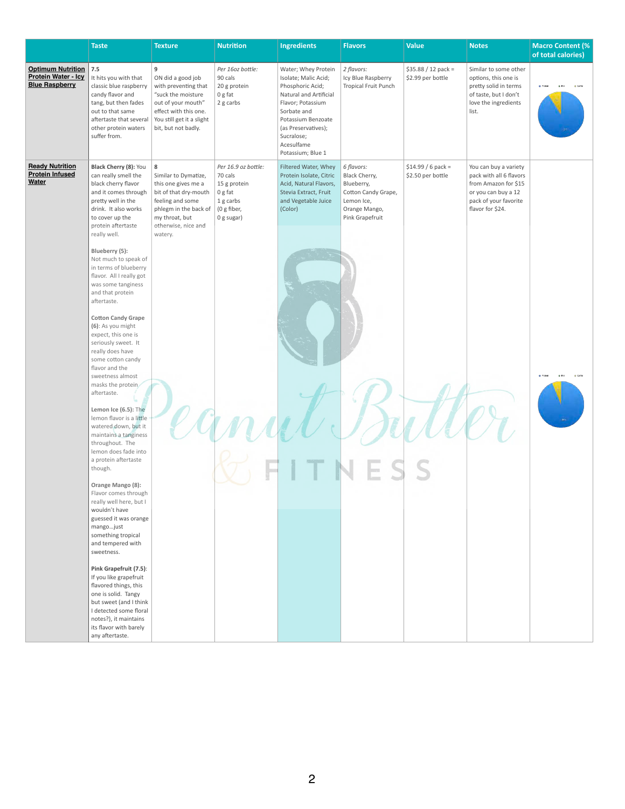|                                                                          | <b>Taste</b>                                                                                                                                                                                        | <b>Texture</b>                                                                                                                                                                     | <b>Nutrition</b>                                                                                    | <b>Ingredients</b>                                                                                                                                                                                                          | <b>Flavors</b>                                                                                                     | <b>Value</b>                              | <b>Notes</b>                                                                                                                                 | <b>Macro Content (%</b><br>of total calories) |
|--------------------------------------------------------------------------|-----------------------------------------------------------------------------------------------------------------------------------------------------------------------------------------------------|------------------------------------------------------------------------------------------------------------------------------------------------------------------------------------|-----------------------------------------------------------------------------------------------------|-----------------------------------------------------------------------------------------------------------------------------------------------------------------------------------------------------------------------------|--------------------------------------------------------------------------------------------------------------------|-------------------------------------------|----------------------------------------------------------------------------------------------------------------------------------------------|-----------------------------------------------|
| <b>Optimum Nutrition</b><br>Protein Water - Icy<br><b>Blue Raspberry</b> | 7.5<br>It hits you with that<br>classic blue raspberry<br>candy flavor and<br>tang, but then fades<br>out to that same<br>aftertaste that several<br>other protein waters<br>suffer from.           | 9<br>ON did a good job<br>with preventing that<br>"suck the moisture<br>out of your mouth"<br>effect with this one.<br>You still get it a slight<br>bit, but not badly.            | Per 16oz bottle:<br>90 cals<br>20 g protein<br>0 g fat<br>2 g carbs                                 | Water; Whey Protein<br>Isolate; Malic Acid;<br>Phosphoric Acid;<br>Natural and Artificial<br>Flavor; Potassium<br>Sorbate and<br>Potassium Benzoate<br>(as Preservatives);<br>Sucralose;<br>Acesulfame<br>Potassium; Blue 1 | 2 flavors:<br>Icy Blue Raspberry<br><b>Tropical Fruit Punch</b>                                                    | $$35.88 / 12$ pack =<br>\$2.99 per bottle | Similar to some other<br>options, this one is<br>pretty solid in terms<br>of taste, but I don't<br>love the ingredients<br>list.             | @ Carb                                        |
| <b>Ready Nutrition</b><br><b>Protein Infused</b><br><b>Water</b>         | Black Cherry (8): You<br>can really smell the<br>black cherry flavor<br>and it comes through<br>pretty well in the<br>drink. It also works<br>to cover up the<br>protein aftertaste<br>really well. | ${\bf 8}$<br>Similar to Dymatize,<br>this one gives me a<br>bit of that dry-mouth<br>feeling and some<br>phlegm in the back of<br>my throat, but<br>otherwise, nice and<br>watery. | Per 16.9 oz bottle:<br>70 cals<br>15 g protein<br>0 g fat<br>1 g carbs<br>(0 g fiber,<br>0 g sugar) | Filtered Water, Whey<br>Protein Isolate, Citric<br>Acid, Natural Flavors,<br>Stevia Extract, Fruit<br>and Vegetable Juice<br>(Color)                                                                                        | 6 flavors:<br>Black Cherry,<br>Blueberry,<br>Cotton Candy Grape,<br>Lemon Ice,<br>Orange Mango,<br>Pink Grapefruit | $$14.99 / 6$ pack =<br>\$2.50 per bottle  | You can buy a variety<br>pack with all 6 flavors<br>from Amazon for \$15<br>or you can buy a 12<br>pack of your favorite<br>flavor for \$24. |                                               |
|                                                                          | Blueberry (5):<br>Not much to speak of<br>in terms of blueberry<br>flavor. All I really got<br>was some tanginess<br>and that protein<br>aftertaste.<br><b>Cotton Candy Grape</b>                   |                                                                                                                                                                                    |                                                                                                     |                                                                                                                                                                                                                             |                                                                                                                    |                                           |                                                                                                                                              |                                               |
|                                                                          | (6): As you might<br>expect, this one is<br>seriously sweet. It<br>really does have<br>some cotton candy<br>flavor and the<br>sweetness almost<br>masks the protein<br>aftertaste.                  |                                                                                                                                                                                    |                                                                                                     |                                                                                                                                                                                                                             |                                                                                                                    |                                           |                                                                                                                                              |                                               |
|                                                                          | Lemon Ice (6.5): The<br>lemon flavor is a little<br>watered down, but it<br>maintains a tanginess<br>throughout. The<br>lemon does fade into<br>a protein aftertaste                                |                                                                                                                                                                                    |                                                                                                     |                                                                                                                                                                                                                             |                                                                                                                    |                                           |                                                                                                                                              |                                               |
|                                                                          | though.<br>Orange Mango (8):<br>Flavor comes through<br>really well here, but I<br>wouldn't have<br>guessed it was orange<br>mangojust<br>something tropical<br>and tempered with<br>sweetness.     |                                                                                                                                                                                    |                                                                                                     |                                                                                                                                                                                                                             |                                                                                                                    |                                           |                                                                                                                                              |                                               |
|                                                                          | Pink Grapefruit (7.5):                                                                                                                                                                              |                                                                                                                                                                                    |                                                                                                     |                                                                                                                                                                                                                             |                                                                                                                    |                                           |                                                                                                                                              |                                               |

| If you like grapefruit |  |  |  |  |
|------------------------|--|--|--|--|
| flavored things, this  |  |  |  |  |
| one is solid. Tangy    |  |  |  |  |
| but sweet (and I think |  |  |  |  |
| I detected some floral |  |  |  |  |
| notes?), it maintains  |  |  |  |  |
| its flavor with barely |  |  |  |  |
| any aftertaste.        |  |  |  |  |
|                        |  |  |  |  |